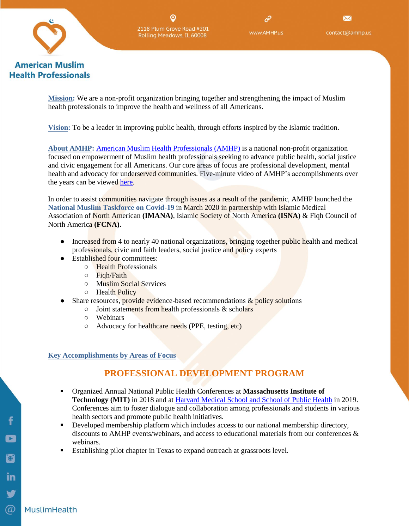

**Health Professionals** 

**WWW AMHPTIS** 

 $\boxtimes$ contact@amhp.us

**Mission:** We are a non-profit organization bringing together and strengthening the impact of Muslim health professionals to improve the health and wellness of all Americans.

**Vision:** To be a leader in improving public health, through efforts inspired by the Islamic tradition.

**About AMHP:** [American Muslim Health Professionals \(AMHP\)](http://www.amhp.us/) is a national non-profit organization focused on empowerment of Muslim health professionals seeking to advance public health, social justice and civic engagement for all Americans. Our core areas of focus are professional development, mental health and advocacy for underserved communities. Five-minute video of AMHP's accomplishments over the years can be viewed [here.](https://www.youtube.com/watch?v=rT8UP-7BBUo)

In order to assist communities navigate through issues as a result of the pandemic, AMHP launched the **National Muslim Taskforce on Covid-19** in March 2020 in partnership with Islamic Medical Association of North American **(IMANA)**, Islamic Society of North America **(ISNA)** & Fiqh Council of North America **(FCNA).**

- Increased from 4 to nearly 40 national organizations, bringing together public health and medical professionals, civic and faith leaders, social justice and policy experts
- Established four committees:
	- Health Professionals
	- Fiqh/Faith
	- Muslim Social Services
	- Health Policy
- Share resources, provide evidence-based recommendations  $\&$  policy solutions
	- Joint statements from health professionals & scholars
	- Webinars
	- Advocacy for healthcare needs (PPE, testing, etc)

#### **Key Accomplishments by Areas of Focus**

## **PROFESSIONAL DEVELOPMENT PROGRAM**

- Organized Annual National Public Health Conferences at **Massachusetts Institute of Technology (MIT)** in 2018 and at [Harvard Medical School and School of Public Health](https://amhp.us/wp-content/uploads/2019/05/4_15-Final-Draft-of-AMHP-Program-Booklet-1.pdf) in 2019. Conferences aim to foster dialogue and collaboration among professionals and students in various health sectors and promote public health initiatives.
- Developed membership platform which includes access to our national membership directory, discounts to AMHP events/webinars, and access to educational materials from our conferences & webinars.
- Establishing pilot chapter in Texas to expand outreach at grassroots level.

MuslimHealth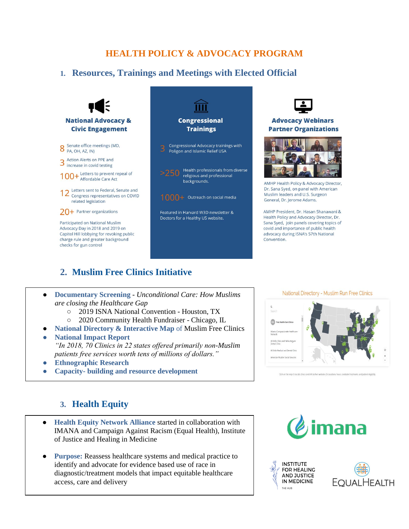## **HEALTH POLICY & ADVOCACY PROGRAM**

### **1. Resources, Trainings and Meetings with Elected Official**





#### **Advocacy Webinars Partner Organizations**



AMHP Health Policy & Advocacy Director, Dr. Sana Syed, on panel with American Muslim leaders and U.S. Surgeon General, Dr. Jerome Adams.

AMHP President, Dr. Hasan Shanawani & Health Policy and Advocacy Director, Dr. Sana Sved. join panels covering topics of covid and importance of public health advocacy during ISNA's 57th National Convention.

## **2. Muslim Free Clinics Initiative**

| <b>Documentary Screening - Unconditional Care: How Muslims</b> |
|----------------------------------------------------------------|
| are closing the Healthcare Gap                                 |
| ○ 2019 ISNA National Convention - Houston, TX                  |

- 2020 Community Health Fundraiser Chicago, IL
- **National Directory & Interactive Map** of Muslim Free Clinics
- **National Impact Report**  *"In 2018, 70 Clinics in 22 states offered primarily non-Muslim patients free services worth tens of millions of dollars."*
- **Ethnographic Research**
- **Capacity- building and resource development**

National Directory - Muslim Run Free Clinics

#### **3. Health Equity**

- **Health Equity Network Alliance** started in collaboration with IMANA and Campaign Against Racism (Equal Health), Institute of Justice and Healing in Medicine
- **Purpose:** Reassess healthcare systems and medical practice to identify and advocate for evidence based use of race in diagnostic/treatment models that impact equitable healthcare access, care and delivery